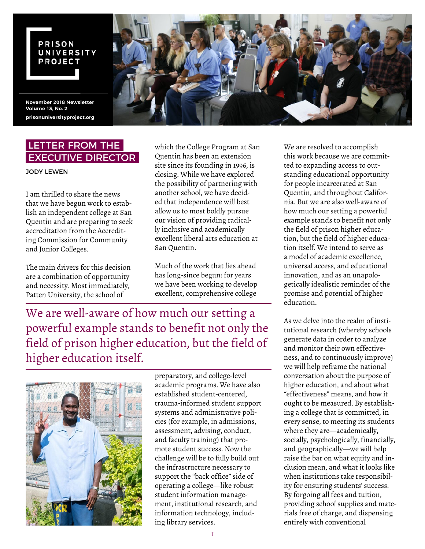#### **PRISON** UNIVERSITY **PROJECT**

**November 2018 Newsletter Volume 13, No. 2 prisonuniversityproject.org**



# LETTER FROM THE EXECUTIVE DIRECTOR

JODY LEWEN

I am thrilled to share the news that we have begun work to establish an independent college at San Quentin and are preparing to seek accreditation from the Accrediting Commission for Community and Junior Colleges.

The main drivers for this decision are a combination of opportunity and necessity. Most immediately, Patten University, the school of

which the College Program at San Quentin has been an extension site since its founding in 1996, is closing. While we have explored the possibility of partnering with another school, we have decided that independence will best allow us to most boldly pursue our vision of providing radically inclusive and academically excellent liberal arts education at San Quentin.

Much of the work that lies ahead has long-since begun: for years we have been working to develop excellent, comprehensive college

We are well-aware of how much our setting a powerful example stands to benefit not only the field of prison higher education, but the field of higher education itself.



preparatory, and college-level academic programs. We have also established student-centered, trauma-informed student support systems and administrative policies (for example, in admissions, assessment, advising, conduct, and faculty training) that promote student success. Now the challenge will be to fully build out the infrastructure necessary to support the "back office" side of operating a college—like robust student information management, institutional research, and information technology, including library services.

We are resolved to accomplish this work because we are committed to expanding access to outstanding educational opportunity for people incarcerated at San Quentin, and throughout California. But we are also well-aware of how much our setting a powerful example stands to benefit not only the field of prison higher education, but the field of higher education itself. We intend to serve as a model of academic excellence, universal access, and educational innovation, and as an unapologetically idealistic reminder of the promise and potential of higher education.

As we delve into the realm of institutional research (whereby schools generate data in order to analyze and monitor their own effectiveness, and to continuously improve) we will help reframe the national conversation about the purpose of higher education, and about what "effectiveness" means, and how it ought to be measured. By establishing a college that is committed, in every sense, to meeting its students where they are—academically, socially, psychologically, financially, and geographically—we will help raise the bar on what equity and inclusion mean, and what it looks like when institutions take responsibility for ensuring students' success. By forgoing all fees and tuition, providing school supplies and materials free of charge, and dispensing entirely with conventional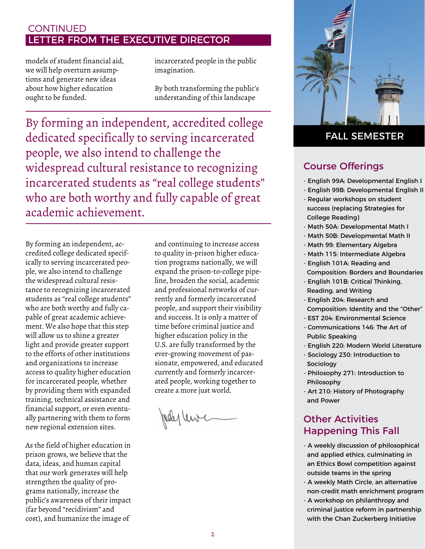# LETTER FROM THE EXECUTIVE DIRECTOR **CONTINUED**

models of student financial aid, we will help overturn assumptions and generate new ideas about how higher education ought to be funded.

incarcerated people in the public imagination.

By both transforming the public's understanding of this landscape

By forming an independent, accredited college dedicated specifically to serving incarcerated people, we also intend to challenge the widespread cultural resistance to recognizing incarcerated students as "real college students" who are both worthy and fully capable of great academic achievement.

By forming an independent, accredited college dedicated specifically to serving incarcerated people, we also intend to challenge the widespread cultural resistance to recognizing incarcerated students as "real college students" who are both worthy and fully capable of great academic achievement. We also hope that this step will allow us to shine a greater light and provide greater support to the efforts of other institutions and organizations to increase access to quality higher education for incarcerated people, whether by providing them with expanded training, technical assistance and financial support, or even eventually partnering with them to form new regional extension sites.

As the field of higher education in prison grows, we believe that the data, ideas, and human capital that our work generates will help strengthen the quality of programs nationally, increase the public's awareness of their impact (far beyond "recidivism" and cost), and humanize the image of

and continuing to increase access to quality in-prison higher education programs nationally, we will expand the prison-to-college pipeline, broaden the social, academic and professional networks of currently and formerly incarcerated people, and support their visibility and success. It is only a matter of time before criminal justice and higher education policy in the U.S. are fully transformed by the ever-growing movement of passionate, empowered, and educated currently and formerly incarcerated people, working together to create a more just world.

Jedy lewic



### FALL SEMESTER

### Course Offerings

- English 99A: Developmental English I
- English 99B: Developmental English II
- Regular workshops on student success (replacing Strategies for College Reading)
- Math 50A: Developmental Math I
- Math 50B: Developmental Math II
- Math 99: Elementary Algebra
- Math 115: Intermediate Algebra
- English 101A: Reading and Composition: Borders and Boundaries
- English 101B: Critical Thinking, Reading, and Writing
- English 204: Research and Composition: Identity and the "Other"
- EST 204: Environmental Science
- Communications 146: The Art of Public Speaking
- English 220: Modern World Literature
- Sociology 230: Introduction to **Sociology**
- Philosophy 271: Introduction to Philosophy
- Art 210: History of Photography and Power

# Other Activities Happening This Fall

- A weekly discussion of philosophical and applied ethics, culminating in an Ethics Bowl competition against outside teams in the spring
- A weekly Math Circle, an alternative non-credit math enrichment program
- A workshop on philanthropy and criminal justice reform in partnership with the Chan Zuckerberg Initiative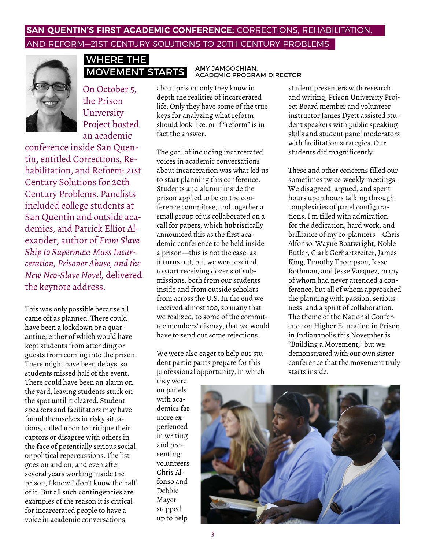### **SAN QUENTIN'S FIRST ACADEMIC CONFERENCE:** CORRECTIONS, REHABILITATION, AND REFORM—21ST CENTURY SOLUTIONS TO 20TH CENTURY PROBLEMS



### WHERE THE MOVEMENT STARTS

On October 5, the Prison University Project hosted an academic

conference inside San Quentin, entitled Corrections, Rehabilitation, and Reform: 21st Century Solutions for 20th Century Problems. Panelists included college students at San Quentin and outside academics, and Patrick Elliot Alexander, author of *From Slave Ship to Supermax: Mass Incarceration, Prisoner Abuse, and the New Neo-Slave Novel*, delivered the keynote address.

This was only possible because all came off as planned. There could have been a lockdown or a quarantine, either of which would have kept students from attending or guests from coming into the prison. There might have been delays, so students missed half of the event. There could have been an alarm on the yard, leaving students stuck on the spot until it cleared. Student speakers and facilitators may have found themselves in risky situations, called upon to critique their captors or disagree with others in the face of potentially serious social or political repercussions. The list goes on and on, and even after several years working inside the prison, I know I don't know the half of it. But all such contingencies are examples of the reason it is critical for incarcerated people to have a voice in academic conversations

about prison: only they know in depth the realities of incarcerated life. Only they have some of the true keys for analyzing what reform should look like, or if "reform" is in fact the answer.

The goal of including incarcerated voices in academic conversations about incarceration was what led us to start planning this conference. Students and alumni inside the prison applied to be on the conference committee, and together a small group of us collaborated on a call for papers, which hubristically announced this as the first academic conference to be held inside a prison—this is not the case, as it turns out, but we were excited to start receiving dozens of submissions, both from our students inside and from outside scholars from across the U.S. In the end we received almost 100, so many that we realized, to some of the committee members' dismay, that we would have to send out some rejections.

We were also eager to help our student participants prepare for this professional opportunity, in which

they were on panels with academics far more experienced in writing and presenting: volunteers Chris Alfonso and Debbie Mayer stepped up to help

# AMY JAMGOCHIAN, ACADEMIC PROGRAM DIRECTOR

student presenters with research and writing; Prison University Project Board member and volunteer instructor James Dyett assisted student speakers with public speaking skills and student panel moderators with facilitation strategies. Our students did magnificently.

These and other concerns filled our sometimes twice-weekly meetings. We disagreed, argued, and spent hours upon hours talking through complexities of panel configurations. I'm filled with admiration for the dedication, hard work, and brilliance of my co-planners—Chris Alfonso, Wayne Boatwright, Noble Butler, Clark Gerhartsreiter, James King, Timothy Thompson, Jesse Rothman, and Jesse Vasquez, many of whom had never attended a conference, but all of whom approached the planning with passion, seriousness, and a spirit of collaboration. The theme of the National Conference on Higher Education in Prison in Indianapolis this November is "Building a Movement," but we demonstrated with our own sister conference that the movement truly starts inside.

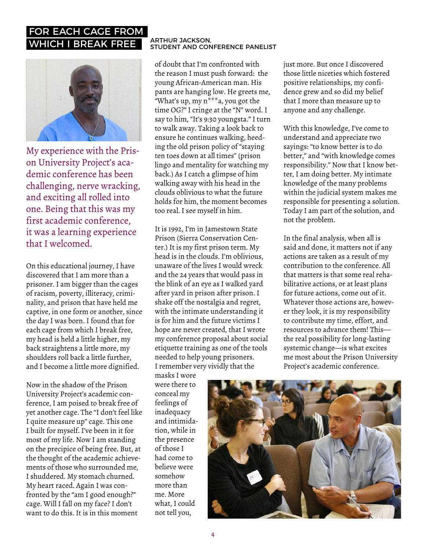# FOR EACH CAGE FROM WHICH I BREAK FREE ARTHUR JACKSON,



My experience with the Prison University Project's academic conference has been challenging, nerve wracking, and exciting all rolled into one. Being that this was my first academic conference, it was a learning experience that I welcomed.

On this educational journey, I have discovered that I am more than a prisoner. I am bigger than the cages of racism, poverty, illiteracy, criminality, and prison that have held me captive, in one form or another, since the day I was born. I found that for each cage from which I break free, my head is held a little higher, my back straightens a little more, my shoulders roll back a little further, and I become a little more dignified.

Now in the shadow of the Prison University Project's academic conference, I am poised to break free of yet another cage. The "I don't feel like I quite measure up" cage. This one I built for myself. I've been in it for most of my life. Now I am standing on the precipice of being free. But, at the thought of the academic achievements of those who surrounded me, I shuddered. My stomach churned. My heart raced. Again I was confronted by the "am I good enough?" cage. Will I fall on my face? I don't want to do this. It is in this moment

# STUDENT AND CONFERENCE PANELIST

of doubt that I'm confronted with the reason I must push forward: the young African-American man. His pants are hanging low. He greets me, "What's up, my n\*\*\*a, you got the time OG?" I cringe at the "N" word. I say to him, "It's 9:30 youngsta." I turn to walk away. Taking a look back to ensure he continues walking, heeding the old prison policy of "staying ten toes down at all times" (prison lingo and mentality for watching my back.) As I catch a glimpse of him walking away with his head in the clouds oblivious to what the future holds for him, the moment becomes too real. I see myself in him.

It is 1992, I'm in Jamestown State Prison (Sierra Conservation Center.) It is my first prison term. My head is in the clouds. I'm oblivious, unaware of the lives I would wreck and the 24 years that would pass in the blink of an eye as I walked yard after yard in prison after prison. I shake off the nostalgia and regret, with the intimate understanding it is for him and the future victims I hope are never created, that I wrote my conference proposal about social etiquette training as one of the tools needed to help young prisoners. I remember very vividly that the

masks I wore were there to conceal my feelings of inadequacy and intimidation, while in the presence of those I had come to believe were somehow more than me. More what, I could not tell you,

just more. But once I discovered those little niceties which fostered positive relationships, my confidence grew and so did my belief that I more than measure up to anyone and any challenge.

With this knowledge, I've come to understand and appreciate two sayings: "to know better is to do better," and "with knowledge comes responsibility." Now that I know better, I am doing better. My intimate knowledge of the many problems within the judicial system makes me responsible for presenting a solution. Today I am part of the solution, and not the problem.

In the final analysis, when all is said and done, it matters not if any actions are taken as a result of my contribution to the conference. All that matters is that some real rehabilitative actions, or at least plans for future actions, come out of it. Whatever those actions are, however they look, it is my responsibility to contribute my time, effort, and resources to advance them! This the real possibility for long-lasting systemic change—is what excites me most about the Prison University Project's academic conference.

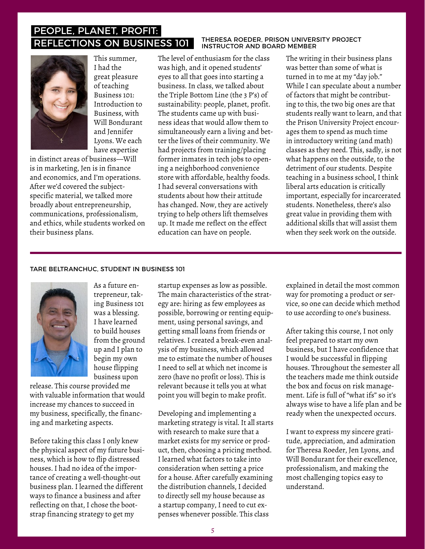# PEOPLE, PLANET, PROFIT: REFLECTIONS ON BUSINESS 101 THERESA ROEDER, PRISON UNIVERSITY PROJECT



This summer, I had the great pleasure of teaching Business 101: Introduction to Business, with Will Bondurant and Jennifer Lyons. We each have expertise

in distinct areas of business—Will is in marketing, Jen is in finance and economics, and I'm operations. After we'd covered the subjectspecific material, we talked more broadly about entrepreneurship, communications, professionalism, and ethics, while students worked on their business plans.

The level of enthusiasm for the class was high, and it opened students' eyes to all that goes into starting a business. In class, we talked about the Triple Bottom Line (the 3 P's) of sustainability: people, planet, profit. The students came up with business ideas that would allow them to simultaneously earn a living and better the lives of their community. We had projects from training/placing former inmates in tech jobs to opening a neighborhood convenience store with affordable, healthy foods. I had several conversations with students about how their attitude has changed. Now, they are actively trying to help others lift themselves up. It made me reflect on the effect education can have on people.

The writing in their business plans was better than some of what is turned in to me at my "day job." While I can speculate about a number of factors that might be contributing to this, the two big ones are that students really want to learn, and that the Prison University Project encourages them to spend as much time in introductory writing (and math) classes as they need. This, sadly, is not what happens on the outside, to the detriment of our students. Despite teaching in a business school, I think liberal arts education is critically important, especially for incarcerated students. Nonetheless, there's also great value in providing them with additional skills that will assist them

#### TARE BELTRANCHUC, STUDENT IN BUSINESS 101



As a future entrepreneur, taking Business 101 was a blessing. I have learned to build houses from the ground up and I plan to begin my own house flipping business upon

release. This course provided me with valuable information that would increase my chances to succeed in my business, specifically, the financing and marketing aspects.

Before taking this class I only knew the physical aspect of my future business, which is how to flip distressed houses. I had no idea of the importance of creating a well-thought-out business plan. I learned the different ways to finance a business and after reflecting on that, I chose the bootstrap financing strategy to get my

startup expenses as low as possible. The main characteristics of the strategy are: hiring as few employees as possible, borrowing or renting equipment, using personal savings, and getting small loans from friends or relatives. I created a break-even analysis of my business, which allowed me to estimate the number of houses I need to sell at which net income is zero (have no profit or loss). This is relevant because it tells you at what point you will begin to make profit.

Developing and implementing a marketing strategy is vital. It all starts with research to make sure that a market exists for my service or product, then, choosing a pricing method. I learned what factors to take into consideration when setting a price for a house. After carefully examining the distribution channels, I decided to directly sell my house because as a startup company, I need to cut expenses whenever possible. This class

explained in detail the most common way for promoting a product or service, so one can decide which method to use according to one's business.

when they seek work on the outside.

After taking this course, I not only feel prepared to start my own business, but I have confidence that I would be successful in flipping houses. Throughout the semester all the teachers made me think outside the box and focus on risk management. Life is full of "what ifs" so it's always wise to have a life plan and be ready when the unexpected occurs.

I want to express my sincere gratitude, appreciation, and admiration for Theresa Roeder, Jen Lyons, and Will Bondurant for their excellence, professionalism, and making the most challenging topics easy to understand.